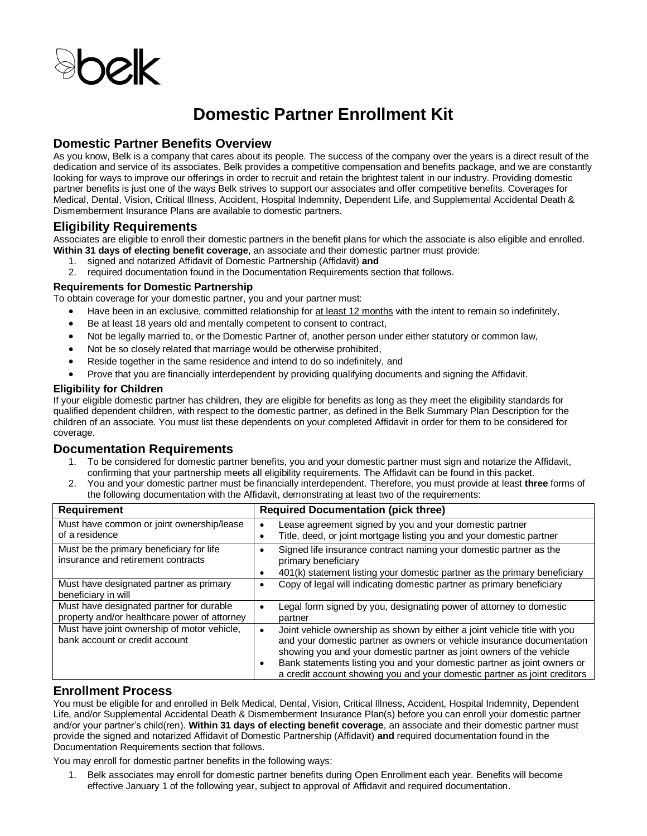

# **Domestic Partner Enrollment Kit**

# **Domestic Partner Benefits Overview**

As you know, Belk is a company that cares about its people. The success of the company over the years is a direct result of the dedication and service of its associates. Belk provides a competitive compensation and benefits package, and we are constantly looking for ways to improve our offerings in order to recruit and retain the brightest talent in our industry. Providing domestic partner benefits is just one of the ways Belk strives to support our associates and offer competitive benefits. Coverages for Medical, Dental, Vision, Critical Illness, Accident, Hospital Indemnity, Dependent Life, and Supplemental Accidental Death & Dismemberment Insurance Plans are available to domestic partners.

# **Eligibility Requirements**

Associates are eligible to enroll their domestic partners in the benefit plans for which the associate is also eligible and enrolled. **Within 31 days of electing benefit coverage**, an associate and their domestic partner must provide:

- 1. signed and notarized Affidavit of Domestic Partnership (Affidavit) **and**
- 2. required documentation found in the Documentation Requirements section that follows.

#### **Requirements for Domestic Partnership**

To obtain coverage for your domestic partner, you and your partner must:

- Have been in an exclusive, committed relationship for at least 12 months with the intent to remain so indefinitely,
- Be at least 18 years old and mentally competent to consent to contract,
- Not be legally married to, or the Domestic Partner of, another person under either statutory or common law,
- Not be so closely related that marriage would be otherwise prohibited,
- Reside together in the same residence and intend to do so indefinitely, and
- Prove that you are financially interdependent by providing qualifying documents and signing the Affidavit.

#### **Eligibility for Children**

If your eligible domestic partner has children, they are eligible for benefits as long as they meet the eligibility standards for qualified dependent children, with respect to the domestic partner, as defined in the Belk Summary Plan Description for the children of an associate. You must list these dependents on your completed Affidavit in order for them to be considered for coverage.

# **Documentation Requirements**

- 1. To be considered for domestic partner benefits, you and your domestic partner must sign and notarize the Affidavit, confirming that your partnership meets all eligibility requirements. The Affidavit can be found in this packet.
- 2. You and your domestic partner must be financially interdependent. Therefore, you must provide at least **three** forms of the following documentation with the Affidavit, demonstrating at least two of the requirements:

| <b>Requirement</b>                                                                       | <b>Required Documentation (pick three)</b>                                                                                                                                                                                  |
|------------------------------------------------------------------------------------------|-----------------------------------------------------------------------------------------------------------------------------------------------------------------------------------------------------------------------------|
| Must have common or joint ownership/lease                                                | Lease agreement signed by you and your domestic partner                                                                                                                                                                     |
| of a residence                                                                           | Title, deed, or joint mortgage listing you and your domestic partner                                                                                                                                                        |
| Must be the primary beneficiary for life<br>insurance and retirement contracts           | Signed life insurance contract naming your domestic partner as the<br>primary beneficiary                                                                                                                                   |
|                                                                                          | 401(k) statement listing your domestic partner as the primary beneficiary                                                                                                                                                   |
| Must have designated partner as primary                                                  | Copy of legal will indicating domestic partner as primary beneficiary                                                                                                                                                       |
| beneficiary in will                                                                      |                                                                                                                                                                                                                             |
| Must have designated partner for durable<br>property and/or healthcare power of attorney | Legal form signed by you, designating power of attorney to domestic<br>partner                                                                                                                                              |
| Must have joint ownership of motor vehicle,<br>bank account or credit account            | Joint vehicle ownership as shown by either a joint vehicle title with you<br>and your domestic partner as owners or vehicle insurance documentation<br>showing you and your domestic partner as joint owners of the vehicle |
|                                                                                          | Bank statements listing you and your domestic partner as joint owners or<br>a credit account showing you and your domestic partner as joint creditors                                                                       |

# **Enrollment Process**

You must be eligible for and enrolled in Belk Medical, Dental, Vision, Critical Illness, Accident, Hospital Indemnity, Dependent Life, and/or Supplemental Accidental Death & Dismemberment Insurance Plan(s) before you can enroll your domestic partner and/or your partner's child(ren). **Within 31 days of electing benefit coverage**, an associate and their domestic partner must provide the signed and notarized Affidavit of Domestic Partnership (Affidavit) **and** required documentation found in the Documentation Requirements section that follows.

You may enroll for domestic partner benefits in the following ways:

1. Belk associates may enroll for domestic partner benefits during Open Enrollment each year. Benefits will become effective January 1 of the following year, subject to approval of Affidavit and required documentation.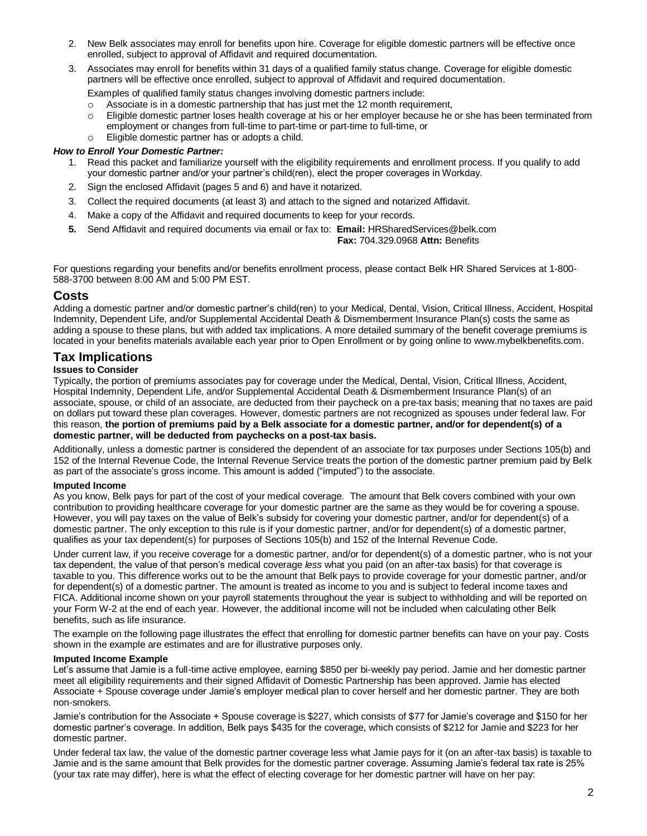- 2. New Belk associates may enroll for benefits upon hire. Coverage for eligible domestic partners will be effective once enrolled, subject to approval of Affidavit and required documentation.
- 3. Associates may enroll for benefits within 31 days of a qualified family status change. Coverage for eligible domestic partners will be effective once enrolled, subject to approval of Affidavit and required documentation.

Examples of qualified family status changes involving domestic partners include:

- o Associate is in a domestic partnership that has just met the 12 month requirement,
- o Eligible domestic partner loses health coverage at his or her employer because he or she has been terminated from employment or changes from full-time to part-time or part-time to full-time, or
- o Eligible domestic partner has or adopts a child.

#### *How to Enroll Your Domestic Partner:*

- 1. Read this packet and familiarize yourself with the eligibility requirements and enrollment process. If you qualify to add your domestic partner and/or your partner's child(ren), elect the proper coverages in Workday.
- 2. Sign the enclosed Affidavit (pages 5 and 6) and have it notarized.
- 3. Collect the required documents (at least 3) and attach to the signed and notarized Affidavit.
- 4. Make a copy of the Affidavit and required documents to keep for your records.
- **5.** Send Affidavit and required documents via email or fax to: **Email:** HRSharedServices@belk.com

 **Fax:** 704.329.0968 **Attn:** Benefits

For questions regarding your benefits and/or benefits enrollment process, please contact Belk HR Shared Services at 1-800- 588-3700 between 8:00 AM and 5:00 PM EST.

# **Costs**

Adding a domestic partner and/or domestic partner's child(ren) to your Medical, Dental, Vision, Critical Illness, Accident, Hospital Indemnity, Dependent Life, and/or Supplemental Accidental Death & Dismemberment Insurance Plan(s) costs the same as adding a spouse to these plans, but with added tax implications. A more detailed summary of the benefit coverage premiums is located in your benefits materials available each year prior to Open Enrollment or by going online to www.mybelkbenefits.com.

# **Tax Implications**

#### **Issues to Consider**

Typically, the portion of premiums associates pay for coverage under the Medical, Dental, Vision, Critical Illness, Accident, Hospital Indemnity, Dependent Life, and/or Supplemental Accidental Death & Dismemberment Insurance Plan(s) of an associate, spouse, or child of an associate, are deducted from their paycheck on a pre-tax basis; meaning that no taxes are paid on dollars put toward these plan coverages. However, domestic partners are not recognized as spouses under federal law. For this reason, **the portion of premiums paid by a Belk associate for a domestic partner, and/or for dependent(s) of a domestic partner, will be deducted from paychecks on a post-tax basis.** 

Additionally, unless a domestic partner is considered the dependent of an associate for tax purposes under Sections 105(b) and 152 of the Internal Revenue Code, the Internal Revenue Service treats the portion of the domestic partner premium paid by Belk as part of the associate's gross income. This amount is added ("imputed") to the associate.

#### **Imputed Income**

As you know, Belk pays for part of the cost of your medical coverage. The amount that Belk covers combined with your own contribution to providing healthcare coverage for your domestic partner are the same as they would be for covering a spouse. However, you will pay taxes on the value of Belk's subsidy for covering your domestic partner, and/or for dependent(s) of a domestic partner. The only exception to this rule is if your domestic partner, and/or for dependent(s) of a domestic partner, qualifies as your tax dependent(s) for purposes of Sections 105(b) and 152 of the Internal Revenue Code.

Under current law, if you receive coverage for a domestic partner, and/or for dependent(s) of a domestic partner, who is not your tax dependent, the value of that person's medical coverage *less* what you paid (on an after-tax basis) for that coverage is taxable to you. This difference works out to be the amount that Belk pays to provide coverage for your domestic partner, and/or for dependent(s) of a domestic partner. The amount is treated as income to you and is subject to federal income taxes and FICA. Additional income shown on your payroll statements throughout the year is subject to withholding and will be reported on your Form W-2 at the end of each year. However, the additional income will not be included when calculating other Belk benefits, such as life insurance.

The example on the following page illustrates the effect that enrolling for domestic partner benefits can have on your pay. Costs shown in the example are estimates and are for illustrative purposes only.

#### **Imputed Income Example**

Let's assume that Jamie is a full-time active employee, earning \$850 per bi-weekly pay period. Jamie and her domestic partner meet all eligibility requirements and their signed Affidavit of Domestic Partnership has been approved. Jamie has elected Associate + Spouse coverage under Jamie's employer medical plan to cover herself and her domestic partner. They are both non-smokers.

Jamie's contribution for the Associate + Spouse coverage is \$227, which consists of \$77 for Jamie's coverage and \$150 for her domestic partner's coverage. In addition, Belk pays \$435 for the coverage, which consists of \$212 for Jamie and \$223 for her domestic partner.

Under federal tax law, the value of the domestic partner coverage less what Jamie pays for it (on an after-tax basis) is taxable to Jamie and is the same amount that Belk provides for the domestic partner coverage. Assuming Jamie's federal tax rate is 25% (your tax rate may differ), here is what the effect of electing coverage for her domestic partner will have on her pay: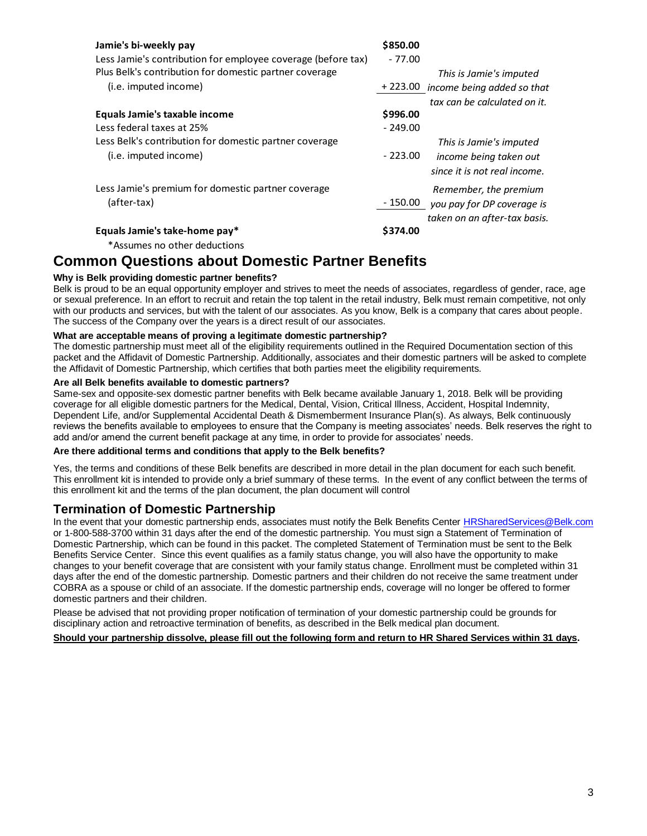| Jamie's bi-weekly pay                                        | \$850.00                               |
|--------------------------------------------------------------|----------------------------------------|
| Less Jamie's contribution for employee coverage (before tax) | $-77.00$                               |
| Plus Belk's contribution for domestic partner coverage       | This is Jamie's imputed                |
| (i.e. imputed income)                                        | +223.00 income being added so that     |
|                                                              | tax can be calculated on it.           |
| Equals Jamie's taxable income                                | \$996.00                               |
| Less federal taxes at 25%                                    | $-249.00$                              |
| Less Belk's contribution for domestic partner coverage       | This is Jamie's imputed                |
| (i.e. imputed income)                                        | $-223.00$<br>income being taken out    |
|                                                              | since it is not real income.           |
| Less Jamie's premium for domestic partner coverage           | Remember, the premium                  |
| (after-tax)                                                  | - 150.00<br>you pay for DP coverage is |
|                                                              | taken on an after-tax basis.           |
| Equals Jamie's take-home pay*                                | \$374.00                               |

\*Assumes no other deductions

# **Common Questions about Domestic Partner Benefits**

# **Why is Belk providing domestic partner benefits?**

Belk is proud to be an equal opportunity employer and strives to meet the needs of associates, regardless of gender, race, age or sexual preference. In an effort to recruit and retain the top talent in the retail industry, Belk must remain competitive, not only with our products and services, but with the talent of our associates. As you know, Belk is a company that cares about people. The success of the Company over the years is a direct result of our associates.

#### **What are acceptable means of proving a legitimate domestic partnership?**

The domestic partnership must meet all of the eligibility requirements outlined in the Required Documentation section of this packet and the Affidavit of Domestic Partnership. Additionally, associates and their domestic partners will be asked to complete the Affidavit of Domestic Partnership, which certifies that both parties meet the eligibility requirements.

#### **Are all Belk benefits available to domestic partners?**

Same-sex and opposite-sex domestic partner benefits with Belk became available January 1, 2018. Belk will be providing coverage for all eligible domestic partners for the Medical, Dental, Vision, Critical Illness, Accident, Hospital Indemnity, Dependent Life, and/or Supplemental Accidental Death & Dismemberment Insurance Plan(s). As always, Belk continuously reviews the benefits available to employees to ensure that the Company is meeting associates' needs. Belk reserves the right to add and/or amend the current benefit package at any time, in order to provide for associates' needs.

#### **Are there additional terms and conditions that apply to the Belk benefits?**

Yes, the terms and conditions of these Belk benefits are described in more detail in the plan document for each such benefit. This enrollment kit is intended to provide only a brief summary of these terms. In the event of any conflict between the terms of this enrollment kit and the terms of the plan document, the plan document will control

# **Termination of Domestic Partnership**

In the event that your domestic partnership ends, associates must notify the Belk Benefits Center [HRSharedServices@Belk.com](mailto:HRSharedServices@Belk.com) or 1-800-588-3700 within 31 days after the end of the domestic partnership. You must sign a Statement of Termination of Domestic Partnership, which can be found in this packet. The completed Statement of Termination must be sent to the Belk Benefits Service Center. Since this event qualifies as a family status change, you will also have the opportunity to make changes to your benefit coverage that are consistent with your family status change. Enrollment must be completed within 31 days after the end of the domestic partnership. Domestic partners and their children do not receive the same treatment under COBRA as a spouse or child of an associate. If the domestic partnership ends, coverage will no longer be offered to former domestic partners and their children.

Please be advised that not providing proper notification of termination of your domestic partnership could be grounds for disciplinary action and retroactive termination of benefits, as described in the Belk medical plan document.

### **Should your partnership dissolve, please fill out the following form and return to HR Shared Services within 31 days.**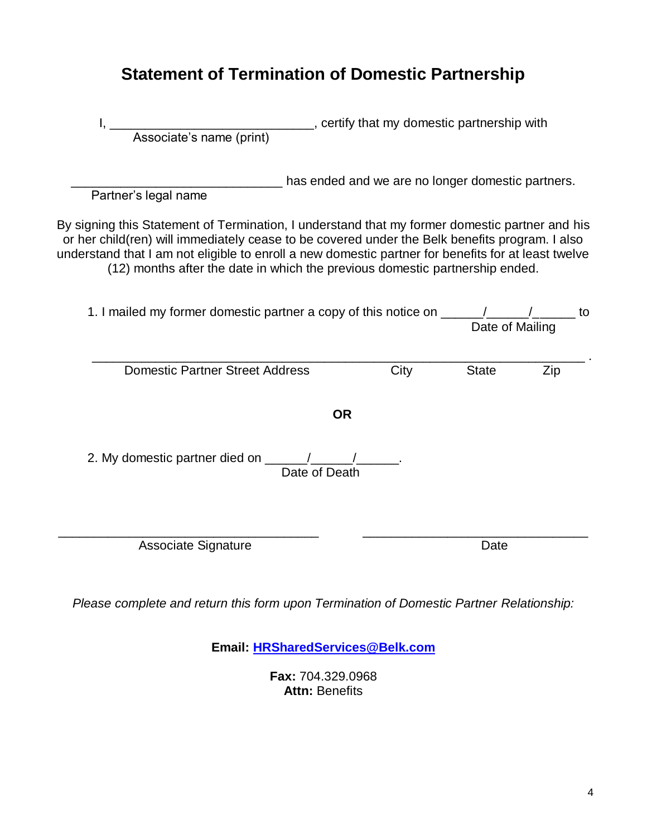# **Statement of Termination of Domestic Partnership**

| Associate's name (print) example retify that my domestic partnership with<br>Associate's name (print)                                                                                                                                                                                                                                                                                   |               |                                                   |                 |     |
|-----------------------------------------------------------------------------------------------------------------------------------------------------------------------------------------------------------------------------------------------------------------------------------------------------------------------------------------------------------------------------------------|---------------|---------------------------------------------------|-----------------|-----|
| Partner's legal name                                                                                                                                                                                                                                                                                                                                                                    |               | has ended and we are no longer domestic partners. |                 |     |
| By signing this Statement of Termination, I understand that my former domestic partner and his<br>or her child(ren) will immediately cease to be covered under the Belk benefits program. I also<br>understand that I am not eligible to enroll a new domestic partner for benefits for at least twelve<br>(12) months after the date in which the previous domestic partnership ended. |               |                                                   |                 |     |
| 1. I mailed my former domestic partner a copy of this notice on ________________________ to                                                                                                                                                                                                                                                                                             |               |                                                   | Date of Mailing |     |
| <b>Domestic Partner Street Address</b>                                                                                                                                                                                                                                                                                                                                                  |               | City                                              | <b>State</b>    | Zip |
|                                                                                                                                                                                                                                                                                                                                                                                         | <b>OR</b>     |                                                   |                 |     |
| 2. My domestic partner died on ______/______/__________.                                                                                                                                                                                                                                                                                                                                | Date of Death |                                                   |                 |     |
| <b>Associate Signature</b>                                                                                                                                                                                                                                                                                                                                                              |               |                                                   | Date            |     |

*Please complete and return this form upon Termination of Domestic Partner Relationship:*

**Email: [HRSharedServices@Belk.com](mailto:HRSharedServices@Belk.com)**

**Fax:** 704.329.0968 Attn: Benefits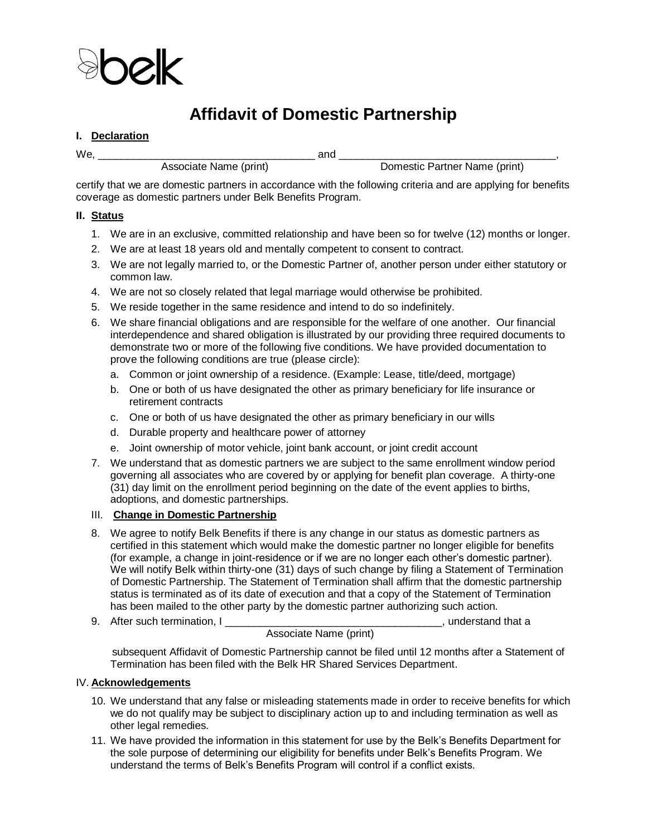

# **Affidavit of Domestic Partnership**

### **I. Declaration**

We, \_\_\_\_\_\_\_\_\_\_\_\_\_\_\_\_\_\_\_\_\_\_\_\_\_\_\_\_\_\_\_\_\_\_\_\_\_ and \_\_\_\_\_\_\_\_\_\_\_\_\_\_\_\_\_\_\_\_\_\_\_\_\_\_\_\_\_\_\_\_\_\_\_\_\_,

Associate Name (print) and a Domestic Partner Name (print)

certify that we are domestic partners in accordance with the following criteria and are applying for benefits coverage as domestic partners under Belk Benefits Program.

# **II. Status**

- 1. We are in an exclusive, committed relationship and have been so for twelve (12) months or longer.
- 2. We are at least 18 years old and mentally competent to consent to contract.
- 3. We are not legally married to, or the Domestic Partner of, another person under either statutory or common law.
- 4. We are not so closely related that legal marriage would otherwise be prohibited.
- 5. We reside together in the same residence and intend to do so indefinitely.
- 6. We share financial obligations and are responsible for the welfare of one another. Our financial interdependence and shared obligation is illustrated by our providing three required documents to demonstrate two or more of the following five conditions. We have provided documentation to prove the following conditions are true (please circle):
	- a. Common or joint ownership of a residence. (Example: Lease, title/deed, mortgage)
	- b. One or both of us have designated the other as primary beneficiary for life insurance or retirement contracts
	- c. One or both of us have designated the other as primary beneficiary in our wills
	- d. Durable property and healthcare power of attorney
	- e. Joint ownership of motor vehicle, joint bank account, or joint credit account
- 7. We understand that as domestic partners we are subject to the same enrollment window period governing all associates who are covered by or applying for benefit plan coverage. A thirty-one (31) day limit on the enrollment period beginning on the date of the event applies to births, adoptions, and domestic partnerships.

#### III. **Change in Domestic Partnership**

- 8. We agree to notify Belk Benefits if there is any change in our status as domestic partners as certified in this statement which would make the domestic partner no longer eligible for benefits (for example, a change in joint-residence or if we are no longer each other's domestic partner). We will notify Belk within thirty-one (31) days of such change by filing a Statement of Termination of Domestic Partnership. The Statement of Termination shall affirm that the domestic partnership status is terminated as of its date of execution and that a copy of the Statement of Termination has been mailed to the other party by the domestic partner authorizing such action.
- 9. After such termination, I \_\_\_\_\_\_\_\_\_\_\_\_\_\_\_\_\_\_\_\_\_\_\_\_\_\_\_\_\_\_\_\_\_\_\_\_\_, understand that a

# Associate Name (print)

 subsequent Affidavit of Domestic Partnership cannot be filed until 12 months after a Statement of Termination has been filed with the Belk HR Shared Services Department.

# IV. **Acknowledgements**

- 10. We understand that any false or misleading statements made in order to receive benefits for which we do not qualify may be subject to disciplinary action up to and including termination as well as other legal remedies.
- 11. We have provided the information in this statement for use by the Belk's Benefits Department for the sole purpose of determining our eligibility for benefits under Belk's Benefits Program. We understand the terms of Belk's Benefits Program will control if a conflict exists.